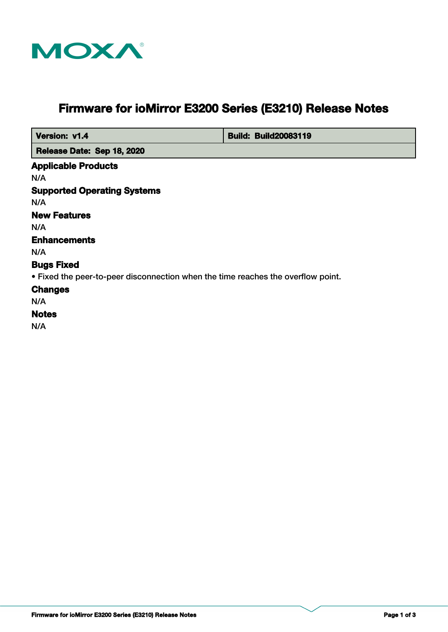

# **Firmware for ioMirror E3200 Series (E3210) Release Notes**

| Version: v1.4                                                                    | <b>Build: Build20083119</b> |
|----------------------------------------------------------------------------------|-----------------------------|
| Release Date: Sep 18, 2020                                                       |                             |
| <b>Applicable Products</b>                                                       |                             |
| N/A                                                                              |                             |
| <b>Supported Operating Systems</b>                                               |                             |
| N/A                                                                              |                             |
| <b>New Features</b>                                                              |                             |
| N/A                                                                              |                             |
| <b>Enhancements</b>                                                              |                             |
| N/A                                                                              |                             |
| <b>Bugs Fixed</b>                                                                |                             |
| • Fixed the peer-to-peer disconnection when the time reaches the overflow point. |                             |
| <b>Changes</b>                                                                   |                             |
| N/A                                                                              |                             |
| <b>Notes</b>                                                                     |                             |
| N/A                                                                              |                             |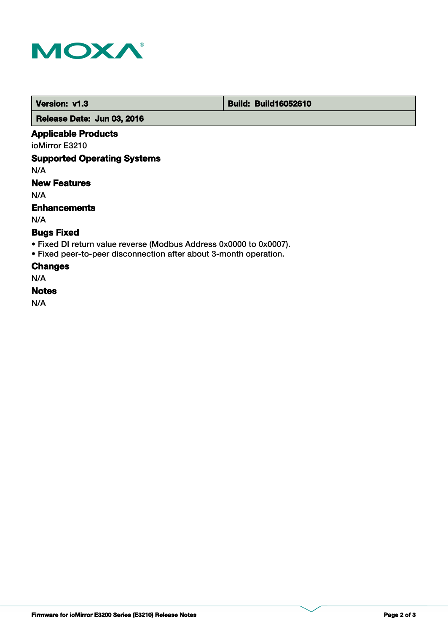

 **Version: v1.3 Build: Build: Build16052610** 

 **Release Date: Jun 03, 2016**

## **Applicable Products**

ioMirror E3210

## **Supported Operating Systems**

N/A

# **New Features**

N/A

## **Enhancements**

N/A

# **Bugs Fixed**

- Fixed DI return value reverse (Modbus Address 0x0000 to 0x0007).
- Fixed peer-to-peer disconnection after about 3-month operation.

## **Changes**

N/A

## **Notes**

N/A